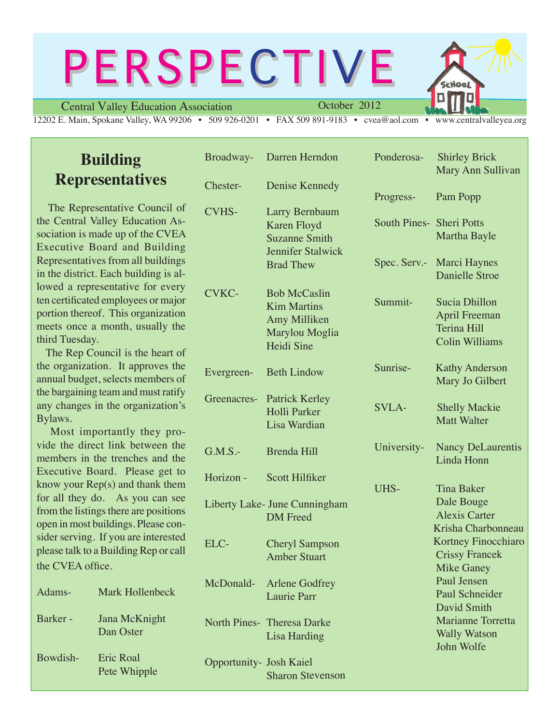# **PERSPECTIVE**

Central Valley Education Association

October 2012

12202 E. Main, Spokane Valley, WA 99206 • 509 926-0201 • FAX 509 891-9183 • cvea@aol.com • www.centralvalleyea.org

# **Building Representatives**

 The Representative Council of the Central Valley Education Association is made up of the CVEA Executive Board and Building Representatives from all buildings in the district. Each building is allowed a representative for every ten certificated employees or major portion thereof. This organization meets once a month, usually the third Tuesday.

 The Rep Council is the heart of the organization. It approves the annual budget, selects members of the bargaining team and must ratify any changes in the organization's Bylaws.

 Most importantly they provide the direct link between the members in the trenches and the Executive Board. Please get to know your Rep(s) and thank them for all they do. As you can see from the listings there are positions open in most buildings. Please consider serving. If you are interested please talk to a Building Rep or call the CVEA office.

| Adams-   | Mark Hollenbeck                  |  |
|----------|----------------------------------|--|
| Barker - | Jana McKnight<br>Dan Oster       |  |
| Bowdish- | <b>Eric Roal</b><br>Pete Whipple |  |

|                                | Broadway- Darren Herndon                                                                  | Ponderosa-               | <b>Shirley Brick</b><br>Mary Ann Sullivan                                            |
|--------------------------------|-------------------------------------------------------------------------------------------|--------------------------|--------------------------------------------------------------------------------------|
| Chester-                       | Denise Kennedy                                                                            | Progress-                | Pam Popp                                                                             |
| <b>CVHS-</b>                   | Larry Bernbaum<br><b>Karen Floyd</b><br><b>Suzanne Smith</b><br><b>Jennifer Stalwick</b>  | South Pines- Sheri Potts | Martha Bayle                                                                         |
|                                | <b>Brad Thew</b>                                                                          | Spec. Serv.-             | Marci Haynes<br><b>Danielle Stroe</b>                                                |
| <b>CVKC-</b>                   | <b>Bob McCaslin</b><br><b>Kim Martins</b><br>Amy Milliken<br>Marylou Moglia<br>Heidi Sine | Summit-                  | Sucia Dhillon<br><b>April Freeman</b><br><b>Terina Hill</b><br><b>Colin Williams</b> |
| Evergreen-                     | <b>Beth Lindow</b>                                                                        | Sunrise-                 | <b>Kathy Anderson</b><br>Mary Jo Gilbert                                             |
| Greenacres-                    | <b>Patrick Kerley</b><br>Holli Parker<br>Lisa Wardian                                     | <b>SVLA-</b>             | <b>Shelly Mackie</b><br><b>Matt Walter</b>                                           |
| $G.M.S.$ -                     | <b>Brenda Hill</b>                                                                        | University-              | <b>Nancy DeLaurentis</b><br>Linda Honn                                               |
| Horizon -                      | <b>Scott Hilfiker</b>                                                                     | UHS-                     | <b>Tina Baker</b>                                                                    |
|                                | Liberty Lake- June Cunningham<br><b>DM</b> Freed                                          |                          | Dale Bouge<br><b>Alexis Carter</b><br>Krisha Charbonneau                             |
| ELC-                           | <b>Cheryl Sampson</b><br><b>Amber Stuart</b>                                              |                          | Kortney Finocchiaro<br><b>Crissy Francek</b><br><b>Mike Ganey</b>                    |
| McDonald-                      | <b>Arlene Godfrey</b><br><b>Laurie Parr</b>                                               |                          | Paul Jensen<br><b>Paul Schneider</b><br>David Smith                                  |
|                                | North Pines- Theresa Darke<br>Lisa Harding                                                |                          | <b>Marianne Torretta</b><br><b>Wally Watson</b><br>John Wolfe                        |
| <b>Opportunity- Josh Kaiel</b> | <b>Sharon Stevenson</b>                                                                   |                          |                                                                                      |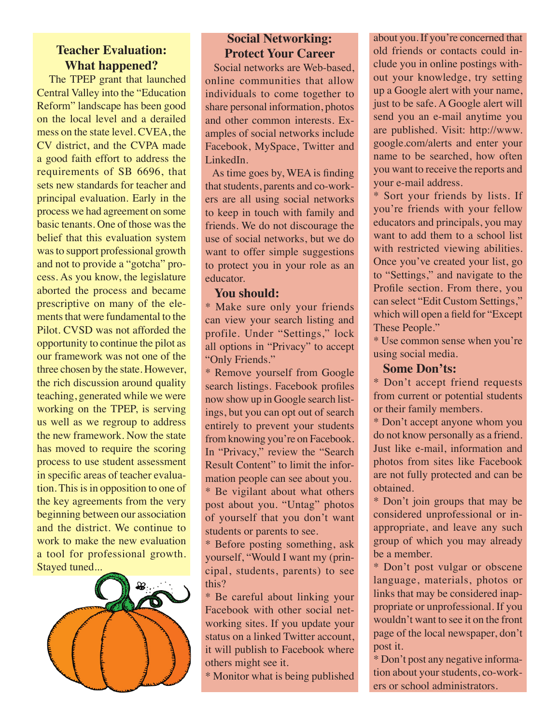# **Teacher Evaluation: What happened?**

 The TPEP grant that launched Central Valley into the "Education Reform" landscape has been good on the local level and a derailed mess on the state level. CVEA, the CV district, and the CVPA made a good faith effort to address the requirements of SB 6696, that sets new standards for teacher and principal evaluation. Early in the process we had agreement on some basic tenants. One of those was the belief that this evaluation system was to support professional growth and not to provide a "gotcha" process. As you know, the legislature aborted the process and became prescriptive on many of the elements that were fundamental to the Pilot. CVSD was not afforded the opportunity to continue the pilot as our framework was not one of the three chosen by the state. However, the rich discussion around quality teaching, generated while we were working on the TPEP, is serving us well as we regroup to address the new framework. Now the state has moved to require the scoring process to use student assessment in specific areas of teacher evaluation. This is in opposition to one of the key agreements from the very beginning between our association and the district. We continue to work to make the new evaluation a tool for professional growth. Stayed tuned...



## **Social Networking: Protect Your Career**

 Social networks are Web-based, online communities that allow individuals to come together to share personal information, photos and other common interests. Examples of social networks include Facebook, MySpace, Twitter and LinkedIn.

 As time goes by, WEA is finding that students, parents and co-workers are all using social networks to keep in touch with family and friends. We do not discourage the use of social networks, but we do want to offer simple suggestions to protect you in your role as an educator.

#### **You should:**

\* Make sure only your friends can view your search listing and profile. Under "Settings," lock all options in "Privacy" to accept "Only Friends."

\* Remove yourself from Google search listings. Facebook profiles now show up in Google search listings, but you can opt out of search entirely to prevent your students from knowing you're on Facebook. In "Privacy," review the "Search Result Content" to limit the information people can see about you. \* Be vigilant about what others post about you. "Untag" photos of yourself that you don't want students or parents to see.

\* Before posting something, ask yourself, "Would I want my (principal, students, parents) to see this?

\* Be careful about linking your Facebook with other social networking sites. If you update your status on a linked Twitter account, it will publish to Facebook where others might see it.

\* Monitor what is being published

about you. If you're concerned that old friends or contacts could include you in online postings without your knowledge, try setting up a Google alert with your name, just to be safe. A Google alert will send you an e-mail anytime you are published. Visit: http://www. google.com/alerts and enter your name to be searched, how often you want to receive the reports and your e-mail address.

\* Sort your friends by lists. If you're friends with your fellow educators and principals, you may want to add them to a school list with restricted viewing abilities. Once you've created your list, go to "Settings," and navigate to the Profile section. From there, you can select "Edit Custom Settings," which will open a field for "Except These People."

\* Use common sense when you're using social media.

#### **Some Don'ts:**

\* Don't accept friend requests from current or potential students or their family members.

\* Don't accept anyone whom you do not know personally as a friend. Just like e-mail, information and photos from sites like Facebook are not fully protected and can be obtained.

\* Don't join groups that may be considered unprofessional or inappropriate, and leave any such group of which you may already be a member.

\* Don't post vulgar or obscene language, materials, photos or links that may be considered inappropriate or unprofessional. If you wouldn't want to see it on the front page of the local newspaper, don't post it.

\* Don't post any negative information about your students, co-workers or school administrators.